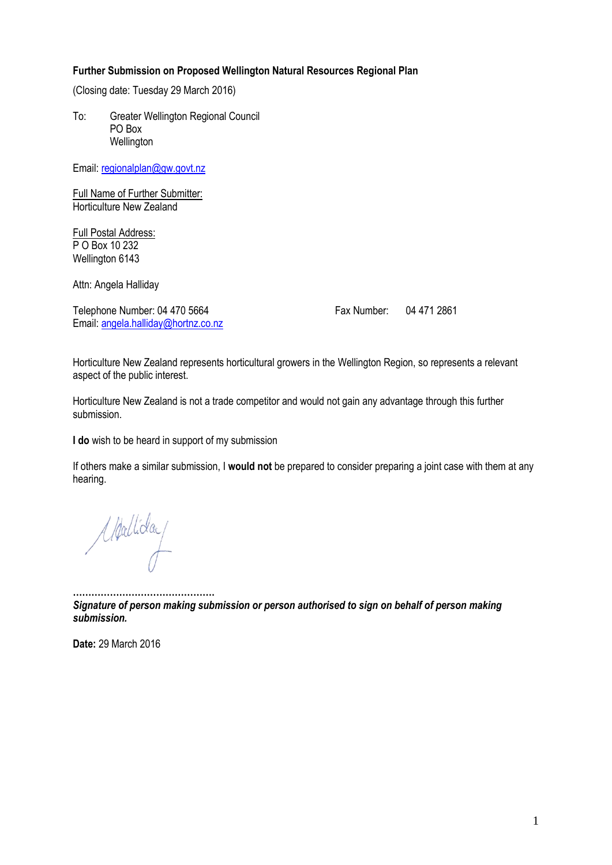## **Further Submission on Proposed Wellington Natural Resources Regional Plan**

(Closing date: Tuesday 29 March 2016)

To: Greater Wellington Regional Council PO Box **Wellington** 

Email[: regionalplan@gw.govt.nz](mailto:regionalplan@gw.govt.nz)

Full Name of Further Submitter: Horticulture New Zealand

Full Postal Address: P O Box 10 232 Wellington 6143

Attn: Angela Halliday

Telephone Number: 04 470 5664 Fax Number: 04 471 2861 Email[: angela.halliday@hortnz.co.nz](mailto:angela.halliday@hortnz.co.nz)

Horticulture New Zealand represents horticultural growers in the Wellington Region, so represents a relevant aspect of the public interest.

Horticulture New Zealand is not a trade competitor and would not gain any advantage through this further submission.

**I do** wish to be heard in support of my submission

If others make a similar submission, I **would not** be prepared to consider preparing a joint case with them at any hearing.

Malliday

**……………………………………….** *Signature of person making submission or person authorised to sign on behalf of person making submission.*

**Date:** 29 March 2016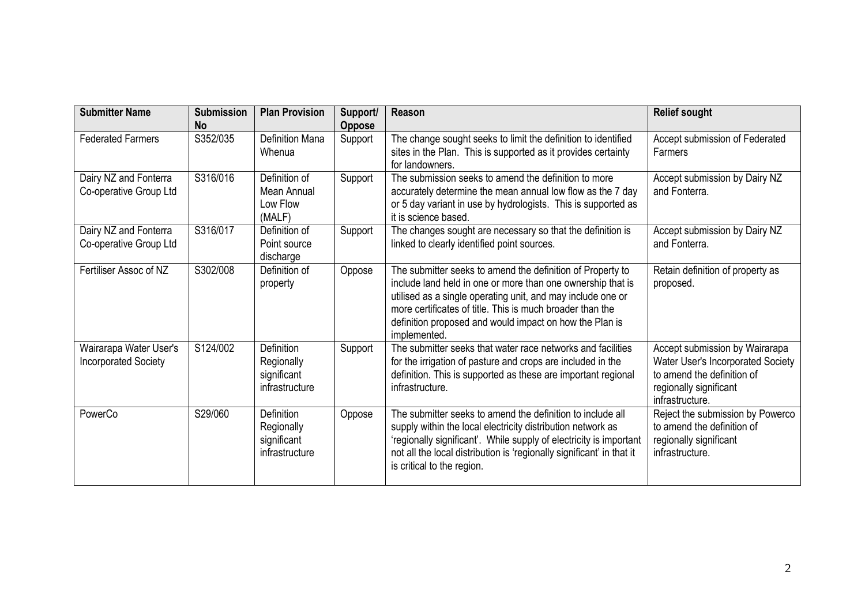| <b>Submitter Name</b>                                 | <b>Submission</b><br><b>No</b> | <b>Plan Provision</b>                                            | Support/<br><b>Oppose</b> | Reason                                                                                                                                                                                                                                                                                                                           | <b>Relief sought</b>                                                                                                                           |
|-------------------------------------------------------|--------------------------------|------------------------------------------------------------------|---------------------------|----------------------------------------------------------------------------------------------------------------------------------------------------------------------------------------------------------------------------------------------------------------------------------------------------------------------------------|------------------------------------------------------------------------------------------------------------------------------------------------|
| <b>Federated Farmers</b>                              | S352/035                       | <b>Definition Mana</b><br>Whenua                                 | Support                   | The change sought seeks to limit the definition to identified<br>sites in the Plan. This is supported as it provides certainty<br>for landowners.                                                                                                                                                                                | Accept submission of Federated<br>Farmers                                                                                                      |
| Dairy NZ and Fonterra<br>Co-operative Group Ltd       | S316/016                       | Definition of<br><b>Mean Annual</b><br>Low Flow<br>(MALF)        | Support                   | The submission seeks to amend the definition to more<br>accurately determine the mean annual low flow as the 7 day<br>or 5 day variant in use by hydrologists. This is supported as<br>it is science based.                                                                                                                      | Accept submission by Dairy NZ<br>and Fonterra.                                                                                                 |
| Dairy NZ and Fonterra<br>Co-operative Group Ltd       | S316/017                       | Definition of<br>Point source<br>discharge                       | Support                   | The changes sought are necessary so that the definition is<br>linked to clearly identified point sources.                                                                                                                                                                                                                        | Accept submission by Dairy NZ<br>and Fonterra.                                                                                                 |
| Fertiliser Assoc of NZ                                | S302/008                       | Definition of<br>property                                        | Oppose                    | The submitter seeks to amend the definition of Property to<br>include land held in one or more than one ownership that is<br>utilised as a single operating unit, and may include one or<br>more certificates of title. This is much broader than the<br>definition proposed and would impact on how the Plan is<br>implemented. | Retain definition of property as<br>proposed.                                                                                                  |
| Wairarapa Water User's<br><b>Incorporated Society</b> | S124/002                       | <b>Definition</b><br>Regionally<br>significant<br>infrastructure | Support                   | The submitter seeks that water race networks and facilities<br>for the irrigation of pasture and crops are included in the<br>definition. This is supported as these are important regional<br>infrastructure.                                                                                                                   | Accept submission by Wairarapa<br>Water User's Incorporated Society<br>to amend the definition of<br>regionally significant<br>infrastructure. |
| PowerCo                                               | S29/060                        | Definition<br>Regionally<br>significant<br>infrastructure        | Oppose                    | The submitter seeks to amend the definition to include all<br>supply within the local electricity distribution network as<br>'regionally significant'. While supply of electricity is important<br>not all the local distribution is 'regionally significant' in that it<br>is critical to the region.                           | Reject the submission by Powerco<br>to amend the definition of<br>regionally significant<br>infrastructure.                                    |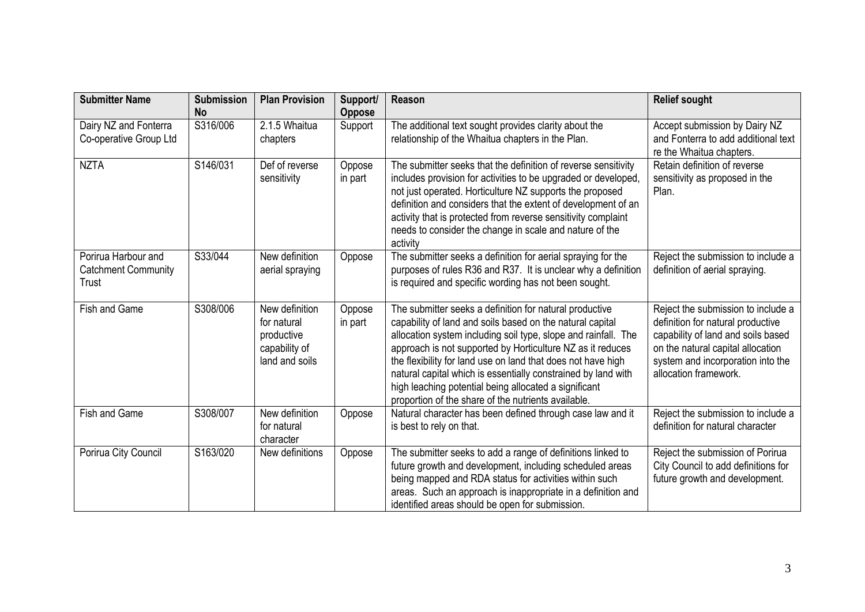| <b>Submitter Name</b>                                      | <b>Submission</b><br><b>No</b> | <b>Plan Provision</b>                                                          | Support/<br><b>Oppose</b> | <b>Reason</b>                                                                                                                                                                                                                                                                                                                                                                                                                                                                                         | <b>Relief sought</b>                                                                                                                                                                                             |
|------------------------------------------------------------|--------------------------------|--------------------------------------------------------------------------------|---------------------------|-------------------------------------------------------------------------------------------------------------------------------------------------------------------------------------------------------------------------------------------------------------------------------------------------------------------------------------------------------------------------------------------------------------------------------------------------------------------------------------------------------|------------------------------------------------------------------------------------------------------------------------------------------------------------------------------------------------------------------|
| Dairy NZ and Fonterra<br>Co-operative Group Ltd            | S316/006                       | 2.1.5 Whaitua<br>chapters                                                      | Support                   | The additional text sought provides clarity about the<br>relationship of the Whaitua chapters in the Plan.                                                                                                                                                                                                                                                                                                                                                                                            | Accept submission by Dairy NZ<br>and Fonterra to add additional text<br>re the Whaitua chapters.                                                                                                                 |
| <b>NZTA</b>                                                | S146/031                       | Def of reverse<br>sensitivity                                                  | Oppose<br>in part         | The submitter seeks that the definition of reverse sensitivity<br>includes provision for activities to be upgraded or developed,<br>not just operated. Horticulture NZ supports the proposed<br>definition and considers that the extent of development of an<br>activity that is protected from reverse sensitivity complaint<br>needs to consider the change in scale and nature of the<br>activity                                                                                                 | Retain definition of reverse<br>sensitivity as proposed in the<br>Plan.                                                                                                                                          |
| Porirua Harbour and<br><b>Catchment Community</b><br>Trust | S33/044                        | New definition<br>aerial spraying                                              | Oppose                    | The submitter seeks a definition for aerial spraying for the<br>purposes of rules R36 and R37. It is unclear why a definition<br>is required and specific wording has not been sought.                                                                                                                                                                                                                                                                                                                | Reject the submission to include a<br>definition of aerial spraying.                                                                                                                                             |
| Fish and Game                                              | S308/006                       | New definition<br>for natural<br>productive<br>capability of<br>land and soils | Oppose<br>in part         | The submitter seeks a definition for natural productive<br>capability of land and soils based on the natural capital<br>allocation system including soil type, slope and rainfall. The<br>approach is not supported by Horticulture NZ as it reduces<br>the flexibility for land use on land that does not have high<br>natural capital which is essentially constrained by land with<br>high leaching potential being allocated a significant<br>proportion of the share of the nutrients available. | Reject the submission to include a<br>definition for natural productive<br>capability of land and soils based<br>on the natural capital allocation<br>system and incorporation into the<br>allocation framework. |
| <b>Fish and Game</b>                                       | S308/007                       | New definition<br>for natural<br>character                                     | Oppose                    | Natural character has been defined through case law and it<br>is best to rely on that.                                                                                                                                                                                                                                                                                                                                                                                                                | Reject the submission to include a<br>definition for natural character                                                                                                                                           |
| Porirua City Council                                       | S163/020                       | New definitions                                                                | Oppose                    | The submitter seeks to add a range of definitions linked to<br>future growth and development, including scheduled areas<br>being mapped and RDA status for activities within such<br>areas. Such an approach is inappropriate in a definition and<br>identified areas should be open for submission.                                                                                                                                                                                                  | Reject the submission of Porirua<br>City Council to add definitions for<br>future growth and development.                                                                                                        |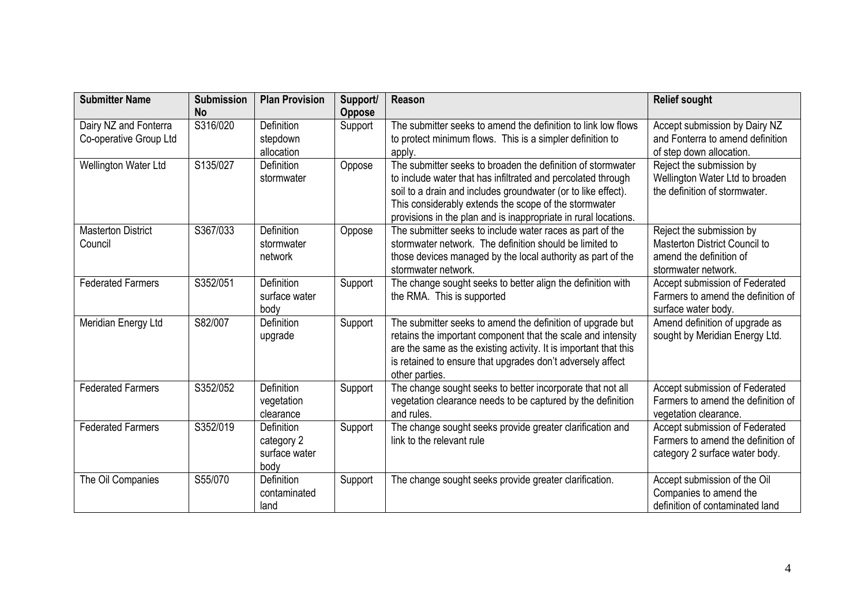| <b>Submitter Name</b>                           | <b>Submission</b><br><b>No</b> | <b>Plan Provision</b>                             | Support/<br><b>Oppose</b> | <b>Reason</b>                                                                                                                                                                                                                                                                                                            | <b>Relief sought</b>                                                                                        |
|-------------------------------------------------|--------------------------------|---------------------------------------------------|---------------------------|--------------------------------------------------------------------------------------------------------------------------------------------------------------------------------------------------------------------------------------------------------------------------------------------------------------------------|-------------------------------------------------------------------------------------------------------------|
| Dairy NZ and Fonterra<br>Co-operative Group Ltd | S316/020                       | Definition<br>stepdown<br>allocation              | Support                   | The submitter seeks to amend the definition to link low flows<br>to protect minimum flows. This is a simpler definition to<br>apply.                                                                                                                                                                                     | Accept submission by Dairy NZ<br>and Fonterra to amend definition<br>of step down allocation.               |
| Wellington Water Ltd                            | S135/027                       | <b>Definition</b><br>stormwater                   | Oppose                    | The submitter seeks to broaden the definition of stormwater<br>to include water that has infiltrated and percolated through<br>soil to a drain and includes groundwater (or to like effect).<br>This considerably extends the scope of the stormwater<br>provisions in the plan and is inappropriate in rural locations. | Reject the submission by<br>Wellington Water Ltd to broaden<br>the definition of stormwater.                |
| <b>Masterton District</b><br>Council            | S367/033                       | Definition<br>stormwater<br>network               | Oppose                    | The submitter seeks to include water races as part of the<br>stormwater network. The definition should be limited to<br>those devices managed by the local authority as part of the<br>stormwater network.                                                                                                               | Reject the submission by<br>Masterton District Council to<br>amend the definition of<br>stormwater network. |
| <b>Federated Farmers</b>                        | S352/051                       | <b>Definition</b><br>surface water<br>body        | Support                   | The change sought seeks to better align the definition with<br>the RMA. This is supported                                                                                                                                                                                                                                | Accept submission of Federated<br>Farmers to amend the definition of<br>surface water body.                 |
| Meridian Energy Ltd                             | S82/007                        | <b>Definition</b><br>upgrade                      | Support                   | The submitter seeks to amend the definition of upgrade but<br>retains the important component that the scale and intensity<br>are the same as the existing activity. It is important that this<br>is retained to ensure that upgrades don't adversely affect<br>other parties.                                           | Amend definition of upgrade as<br>sought by Meridian Energy Ltd.                                            |
| <b>Federated Farmers</b>                        | S352/052                       | Definition<br>vegetation<br>clearance             | Support                   | The change sought seeks to better incorporate that not all<br>vegetation clearance needs to be captured by the definition<br>and rules.                                                                                                                                                                                  | Accept submission of Federated<br>Farmers to amend the definition of<br>vegetation clearance.               |
| <b>Federated Farmers</b>                        | S352/019                       | Definition<br>category 2<br>surface water<br>body | Support                   | The change sought seeks provide greater clarification and<br>link to the relevant rule                                                                                                                                                                                                                                   | Accept submission of Federated<br>Farmers to amend the definition of<br>category 2 surface water body.      |
| The Oil Companies                               | S55/070                        | Definition<br>contaminated<br>land                | Support                   | The change sought seeks provide greater clarification.                                                                                                                                                                                                                                                                   | Accept submission of the Oil<br>Companies to amend the<br>definition of contaminated land                   |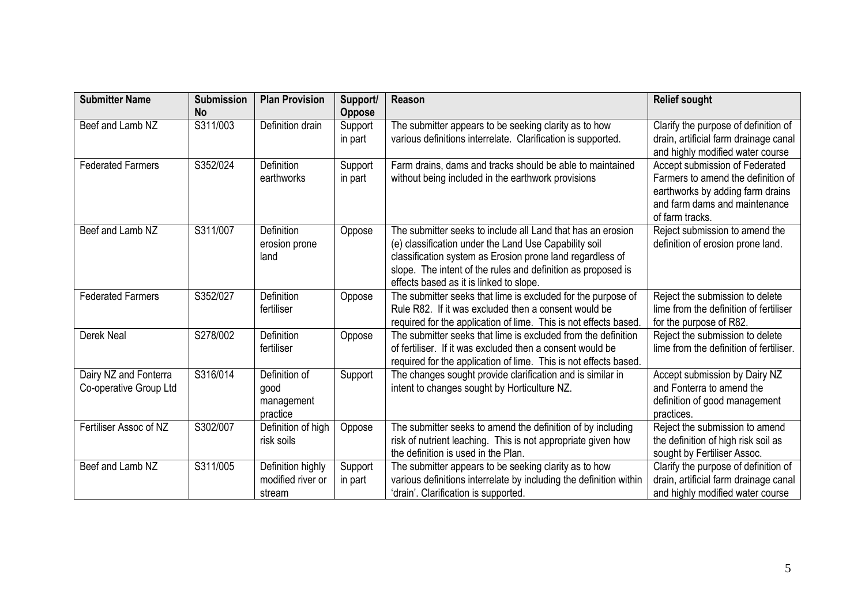| <b>Submitter Name</b>                           | <b>Submission</b><br><b>No</b> | <b>Plan Provision</b>                            | Support/<br>Oppose | <b>Reason</b>                                                                                                                                                                                                                                                                                | <b>Relief sought</b>                                                                                                                                         |
|-------------------------------------------------|--------------------------------|--------------------------------------------------|--------------------|----------------------------------------------------------------------------------------------------------------------------------------------------------------------------------------------------------------------------------------------------------------------------------------------|--------------------------------------------------------------------------------------------------------------------------------------------------------------|
| Beef and Lamb NZ                                | S311/003                       | Definition drain                                 | Support<br>in part | The submitter appears to be seeking clarity as to how<br>various definitions interrelate. Clarification is supported.                                                                                                                                                                        | Clarify the purpose of definition of<br>drain, artificial farm drainage canal<br>and highly modified water course                                            |
| <b>Federated Farmers</b>                        | S352/024                       | Definition<br>earthworks                         | Support<br>in part | Farm drains, dams and tracks should be able to maintained<br>without being included in the earthwork provisions                                                                                                                                                                              | Accept submission of Federated<br>Farmers to amend the definition of<br>earthworks by adding farm drains<br>and farm dams and maintenance<br>of farm tracks. |
| Beef and Lamb NZ                                | S311/007                       | Definition<br>erosion prone<br>land              | Oppose             | The submitter seeks to include all Land that has an erosion<br>(e) classification under the Land Use Capability soil<br>classification system as Erosion prone land regardless of<br>slope. The intent of the rules and definition as proposed is<br>effects based as it is linked to slope. | Reject submission to amend the<br>definition of erosion prone land.                                                                                          |
| <b>Federated Farmers</b>                        | S352/027                       | Definition<br>fertiliser                         | Oppose             | The submitter seeks that lime is excluded for the purpose of<br>Rule R82. If it was excluded then a consent would be<br>required for the application of lime. This is not effects based.                                                                                                     | Reject the submission to delete<br>lime from the definition of fertiliser<br>for the purpose of R82.                                                         |
| Derek Neal                                      | S278/002                       | Definition<br>fertiliser                         | Oppose             | The submitter seeks that lime is excluded from the definition<br>of fertiliser. If it was excluded then a consent would be<br>required for the application of lime. This is not effects based.                                                                                               | Reject the submission to delete<br>lime from the definition of fertiliser.                                                                                   |
| Dairy NZ and Fonterra<br>Co-operative Group Ltd | S316/014                       | Definition of<br>good<br>management<br>practice  | Support            | The changes sought provide clarification and is similar in<br>intent to changes sought by Horticulture NZ.                                                                                                                                                                                   | Accept submission by Dairy NZ<br>and Fonterra to amend the<br>definition of good management<br>practices.                                                    |
| Fertiliser Assoc of NZ                          | S302/007                       | Definition of high<br>risk soils                 | Oppose             | The submitter seeks to amend the definition of by including<br>risk of nutrient leaching. This is not appropriate given how<br>the definition is used in the Plan.                                                                                                                           | Reject the submission to amend<br>the definition of high risk soil as<br>sought by Fertiliser Assoc.                                                         |
| Beef and Lamb NZ                                | S311/005                       | Definition highly<br>modified river or<br>stream | Support<br>in part | The submitter appears to be seeking clarity as to how<br>various definitions interrelate by including the definition within<br>'drain'. Clarification is supported.                                                                                                                          | Clarify the purpose of definition of<br>drain, artificial farm drainage canal<br>and highly modified water course                                            |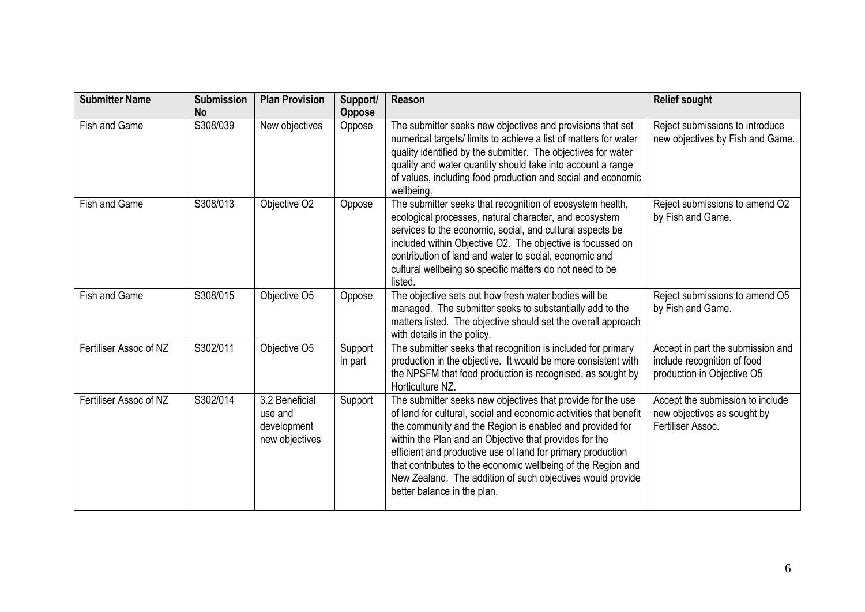| <b>Submitter Name</b>  | <b>Submission</b><br><b>No</b> | <b>Plan Provision</b>                                      | Support/<br><b>Oppose</b> | Reason                                                                                                                                                                                                                                                                                                                                                                                                                                                                             | <b>Relief sought</b>                                                                           |
|------------------------|--------------------------------|------------------------------------------------------------|---------------------------|------------------------------------------------------------------------------------------------------------------------------------------------------------------------------------------------------------------------------------------------------------------------------------------------------------------------------------------------------------------------------------------------------------------------------------------------------------------------------------|------------------------------------------------------------------------------------------------|
| Fish and Game          | S308/039                       | New objectives                                             | Oppose                    | The submitter seeks new objectives and provisions that set<br>numerical targets/limits to achieve a list of matters for water<br>quality identified by the submitter. The objectives for water<br>quality and water quantity should take into account a range<br>of values, including food production and social and economic<br>wellbeing.                                                                                                                                        | Reject submissions to introduce<br>new objectives by Fish and Game.                            |
| Fish and Game          | S308/013                       | Objective O2                                               | Oppose                    | The submitter seeks that recognition of ecosystem health,<br>ecological processes, natural character, and ecosystem<br>services to the economic, social, and cultural aspects be<br>included within Objective O2. The objective is focussed on<br>contribution of land and water to social, economic and<br>cultural wellbeing so specific matters do not need to be<br>listed.                                                                                                    | Reject submissions to amend O2<br>by Fish and Game.                                            |
| Fish and Game          | S308/015                       | Objective O5                                               | Oppose                    | The objective sets out how fresh water bodies will be<br>managed. The submitter seeks to substantially add to the<br>matters listed. The objective should set the overall approach<br>with details in the policy.                                                                                                                                                                                                                                                                  | Reject submissions to amend O5<br>by Fish and Game.                                            |
| Fertiliser Assoc of NZ | S302/011                       | Objective O5                                               | Support<br>in part        | The submitter seeks that recognition is included for primary<br>production in the objective. It would be more consistent with<br>the NPSFM that food production is recognised, as sought by<br>Horticulture NZ.                                                                                                                                                                                                                                                                    | Accept in part the submission and<br>include recognition of food<br>production in Objective O5 |
| Fertiliser Assoc of NZ | S302/014                       | 3.2 Beneficial<br>use and<br>development<br>new objectives | Support                   | The submitter seeks new objectives that provide for the use<br>of land for cultural, social and economic activities that benefit<br>the community and the Region is enabled and provided for<br>within the Plan and an Objective that provides for the<br>efficient and productive use of land for primary production<br>that contributes to the economic wellbeing of the Region and<br>New Zealand. The addition of such objectives would provide<br>better balance in the plan. | Accept the submission to include<br>new objectives as sought by<br>Fertiliser Assoc.           |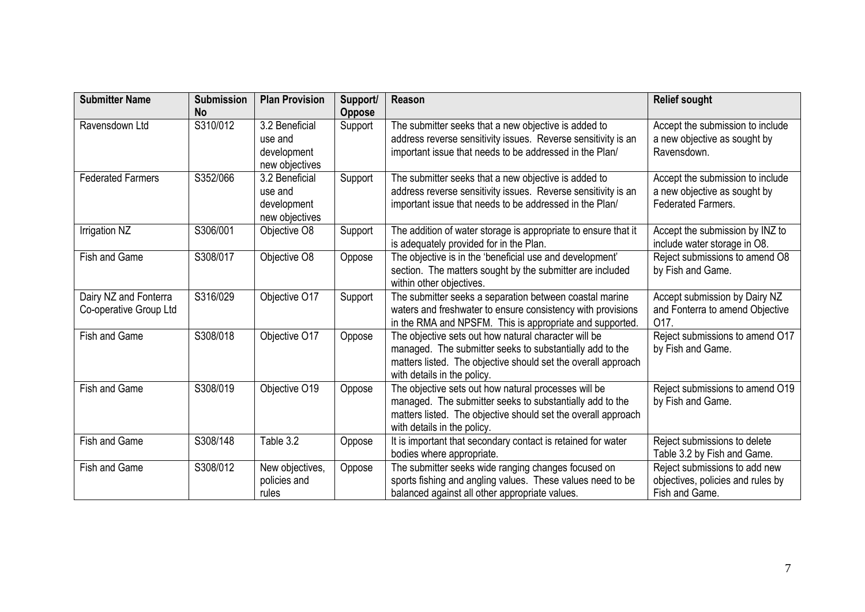| <b>Submitter Name</b>                           | <b>Submission</b><br><b>No</b> | <b>Plan Provision</b>                                      | Support/<br>Oppose | Reason                                                                                                                                                                                                           | <b>Relief sought</b>                                                                          |
|-------------------------------------------------|--------------------------------|------------------------------------------------------------|--------------------|------------------------------------------------------------------------------------------------------------------------------------------------------------------------------------------------------------------|-----------------------------------------------------------------------------------------------|
| Ravensdown Ltd                                  | S310/012                       | 3.2 Beneficial<br>use and<br>development<br>new objectives | Support            | The submitter seeks that a new objective is added to<br>address reverse sensitivity issues. Reverse sensitivity is an<br>important issue that needs to be addressed in the Plan/                                 | Accept the submission to include<br>a new objective as sought by<br>Ravensdown.               |
| <b>Federated Farmers</b>                        | S352/066                       | 3.2 Beneficial<br>use and<br>development<br>new objectives | Support            | The submitter seeks that a new objective is added to<br>address reverse sensitivity issues. Reverse sensitivity is an<br>important issue that needs to be addressed in the Plan/                                 | Accept the submission to include<br>a new objective as sought by<br><b>Federated Farmers.</b> |
| Irrigation NZ                                   | S306/001                       | Objective O8                                               | Support            | The addition of water storage is appropriate to ensure that it<br>is adequately provided for in the Plan.                                                                                                        | Accept the submission by INZ to<br>include water storage in O8.                               |
| Fish and Game                                   | S308/017                       | Objective O8                                               | Oppose             | The objective is in the 'beneficial use and development'<br>section. The matters sought by the submitter are included<br>within other objectives.                                                                | Reject submissions to amend O8<br>by Fish and Game.                                           |
| Dairy NZ and Fonterra<br>Co-operative Group Ltd | S316/029                       | Objective O17                                              | Support            | The submitter seeks a separation between coastal marine<br>waters and freshwater to ensure consistency with provisions<br>in the RMA and NPSFM. This is appropriate and supported.                               | Accept submission by Dairy NZ<br>and Fonterra to amend Objective<br>O <sub>17</sub>           |
| <b>Fish and Game</b>                            | S308/018                       | Objective O17                                              | Oppose             | The objective sets out how natural character will be<br>managed. The submitter seeks to substantially add to the<br>matters listed. The objective should set the overall approach<br>with details in the policy. | Reject submissions to amend O17<br>by Fish and Game.                                          |
| Fish and Game                                   | S308/019                       | Objective O19                                              | Oppose             | The objective sets out how natural processes will be<br>managed. The submitter seeks to substantially add to the<br>matters listed. The objective should set the overall approach<br>with details in the policy. | Reject submissions to amend O19<br>by Fish and Game.                                          |
| Fish and Game                                   | S308/148                       | Table 3.2                                                  | Oppose             | It is important that secondary contact is retained for water<br>bodies where appropriate.                                                                                                                        | Reject submissions to delete<br>Table 3.2 by Fish and Game.                                   |
| Fish and Game                                   | S308/012                       | New objectives,<br>policies and<br>rules                   | Oppose             | The submitter seeks wide ranging changes focused on<br>sports fishing and angling values. These values need to be<br>balanced against all other appropriate values.                                              | Reject submissions to add new<br>objectives, policies and rules by<br>Fish and Game.          |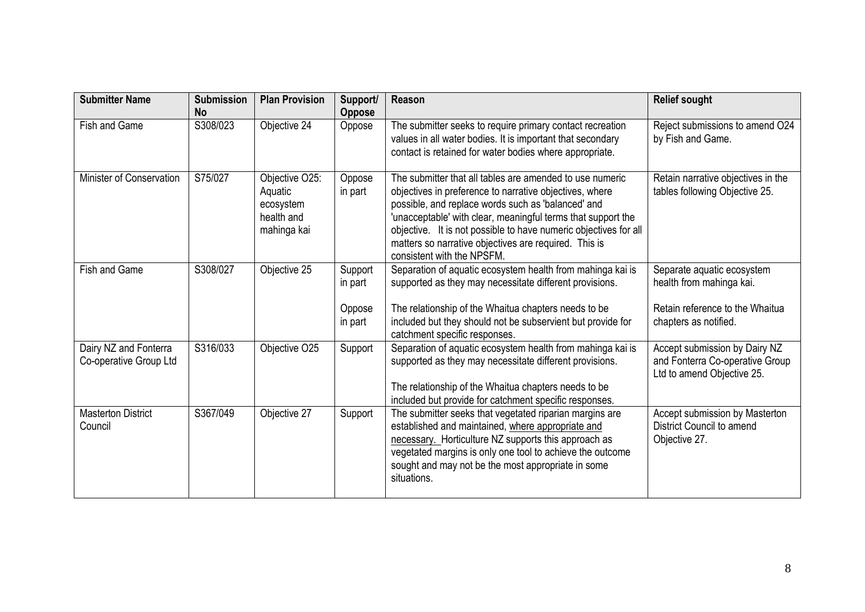| <b>Submitter Name</b>                           | <b>Submission</b><br><b>No</b> | <b>Plan Provision</b>                                               | Support/<br><b>Oppose</b>               | Reason                                                                                                                                                                                                                                                                                                                                                                                               | <b>Relief sought</b>                                                                                               |
|-------------------------------------------------|--------------------------------|---------------------------------------------------------------------|-----------------------------------------|------------------------------------------------------------------------------------------------------------------------------------------------------------------------------------------------------------------------------------------------------------------------------------------------------------------------------------------------------------------------------------------------------|--------------------------------------------------------------------------------------------------------------------|
| Fish and Game                                   | S308/023                       | Objective 24                                                        | Oppose                                  | The submitter seeks to require primary contact recreation<br>values in all water bodies. It is important that secondary<br>contact is retained for water bodies where appropriate.                                                                                                                                                                                                                   | Reject submissions to amend O24<br>by Fish and Game.                                                               |
| Minister of Conservation                        | S75/027                        | Objective O25:<br>Aquatic<br>ecosystem<br>health and<br>mahinga kai | Oppose<br>in part                       | The submitter that all tables are amended to use numeric<br>objectives in preference to narrative objectives, where<br>possible, and replace words such as 'balanced' and<br>'unacceptable' with clear, meaningful terms that support the<br>objective. It is not possible to have numeric objectives for all<br>matters so narrative objectives are required. This is<br>consistent with the NPSFM. | Retain narrative objectives in the<br>tables following Objective 25.                                               |
| Fish and Game                                   | S308/027                       | Objective 25                                                        | Support<br>in part<br>Oppose<br>in part | Separation of aquatic ecosystem health from mahinga kai is<br>supported as they may necessitate different provisions.<br>The relationship of the Whaitua chapters needs to be<br>included but they should not be subservient but provide for<br>catchment specific responses.                                                                                                                        | Separate aquatic ecosystem<br>health from mahinga kai.<br>Retain reference to the Whaitua<br>chapters as notified. |
| Dairy NZ and Fonterra<br>Co-operative Group Ltd | S316/033                       | Objective O25                                                       | Support                                 | Separation of aquatic ecosystem health from mahinga kai is<br>supported as they may necessitate different provisions.<br>The relationship of the Whaitua chapters needs to be<br>included but provide for catchment specific responses.                                                                                                                                                              | Accept submission by Dairy NZ<br>and Fonterra Co-operative Group<br>Ltd to amend Objective 25.                     |
| <b>Masterton District</b><br>Council            | S367/049                       | Objective 27                                                        | Support                                 | The submitter seeks that vegetated riparian margins are<br>established and maintained, where appropriate and<br>necessary. Horticulture NZ supports this approach as<br>vegetated margins is only one tool to achieve the outcome<br>sought and may not be the most appropriate in some<br>situations.                                                                                               | Accept submission by Masterton<br>District Council to amend<br>Objective 27.                                       |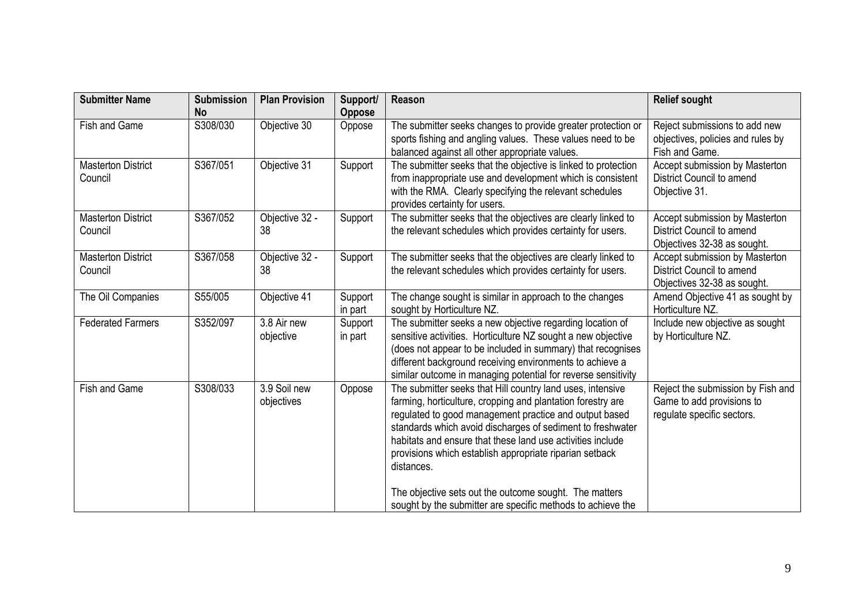| <b>Submitter Name</b>                | <b>Submission</b><br><b>No</b> | <b>Plan Provision</b>      | Support/<br><b>Oppose</b> | Reason                                                                                                                                                                                                                                                                                                                                                                                                                                                                                                            | <b>Relief sought</b>                                                                         |
|--------------------------------------|--------------------------------|----------------------------|---------------------------|-------------------------------------------------------------------------------------------------------------------------------------------------------------------------------------------------------------------------------------------------------------------------------------------------------------------------------------------------------------------------------------------------------------------------------------------------------------------------------------------------------------------|----------------------------------------------------------------------------------------------|
| Fish and Game                        | S308/030                       | Objective 30               | Oppose                    | The submitter seeks changes to provide greater protection or<br>sports fishing and angling values. These values need to be<br>balanced against all other appropriate values.                                                                                                                                                                                                                                                                                                                                      | Reject submissions to add new<br>objectives, policies and rules by<br>Fish and Game.         |
| <b>Masterton District</b><br>Council | S367/051                       | Objective 31               | Support                   | The submitter seeks that the objective is linked to protection<br>from inappropriate use and development which is consistent<br>with the RMA. Clearly specifying the relevant schedules<br>provides certainty for users.                                                                                                                                                                                                                                                                                          | Accept submission by Masterton<br>District Council to amend<br>Objective 31.                 |
| <b>Masterton District</b><br>Council | S367/052                       | Objective 32 -<br>38       | Support                   | The submitter seeks that the objectives are clearly linked to<br>the relevant schedules which provides certainty for users.                                                                                                                                                                                                                                                                                                                                                                                       | Accept submission by Masterton<br>District Council to amend<br>Objectives 32-38 as sought.   |
| <b>Masterton District</b><br>Council | S367/058                       | Objective 32 -<br>38       | Support                   | The submitter seeks that the objectives are clearly linked to<br>the relevant schedules which provides certainty for users.                                                                                                                                                                                                                                                                                                                                                                                       | Accept submission by Masterton<br>District Council to amend<br>Objectives 32-38 as sought.   |
| The Oil Companies                    | S55/005                        | Objective 41               | Support<br>in part        | The change sought is similar in approach to the changes<br>sought by Horticulture NZ.                                                                                                                                                                                                                                                                                                                                                                                                                             | Amend Objective 41 as sought by<br>Horticulture NZ.                                          |
| <b>Federated Farmers</b>             | S352/097                       | 3.8 Air new<br>objective   | Support<br>in part        | The submitter seeks a new objective regarding location of<br>sensitive activities. Horticulture NZ sought a new objective<br>(does not appear to be included in summary) that recognises<br>different background receiving environments to achieve a<br>similar outcome in managing potential for reverse sensitivity                                                                                                                                                                                             | Include new objective as sought<br>by Horticulture NZ.                                       |
| Fish and Game                        | S308/033                       | 3.9 Soil new<br>objectives | Oppose                    | The submitter seeks that Hill country land uses, intensive<br>farming, horticulture, cropping and plantation forestry are<br>regulated to good management practice and output based<br>standards which avoid discharges of sediment to freshwater<br>habitats and ensure that these land use activities include<br>provisions which establish appropriate riparian setback<br>distances.<br>The objective sets out the outcome sought. The matters<br>sought by the submitter are specific methods to achieve the | Reject the submission by Fish and<br>Game to add provisions to<br>regulate specific sectors. |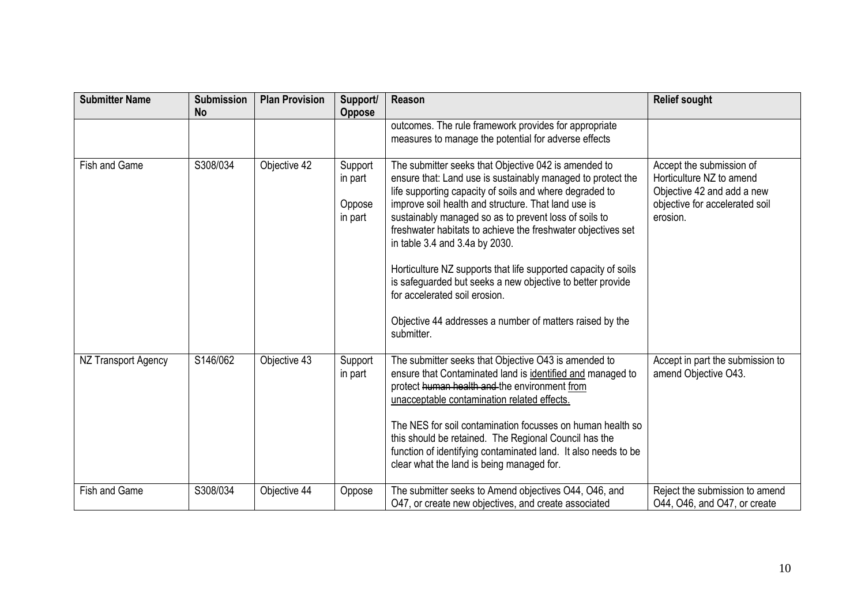| <b>Submitter Name</b> | <b>Submission</b><br><b>No</b> | <b>Plan Provision</b> | Support/                                | Reason                                                                                                                                                                                                                                                                                                                                                                                                                                                                                                                                                                                                                                      | <b>Relief sought</b>                                                                                                             |
|-----------------------|--------------------------------|-----------------------|-----------------------------------------|---------------------------------------------------------------------------------------------------------------------------------------------------------------------------------------------------------------------------------------------------------------------------------------------------------------------------------------------------------------------------------------------------------------------------------------------------------------------------------------------------------------------------------------------------------------------------------------------------------------------------------------------|----------------------------------------------------------------------------------------------------------------------------------|
|                       |                                |                       | <b>Oppose</b>                           | outcomes. The rule framework provides for appropriate<br>measures to manage the potential for adverse effects                                                                                                                                                                                                                                                                                                                                                                                                                                                                                                                               |                                                                                                                                  |
| Fish and Game         | S308/034                       | Objective 42          | Support<br>in part<br>Oppose<br>in part | The submitter seeks that Objective 042 is amended to<br>ensure that: Land use is sustainably managed to protect the<br>life supporting capacity of soils and where degraded to<br>improve soil health and structure. That land use is<br>sustainably managed so as to prevent loss of soils to<br>freshwater habitats to achieve the freshwater objectives set<br>in table 3.4 and 3.4a by 2030.<br>Horticulture NZ supports that life supported capacity of soils<br>is safeguarded but seeks a new objective to better provide<br>for accelerated soil erosion.<br>Objective 44 addresses a number of matters raised by the<br>submitter. | Accept the submission of<br>Horticulture NZ to amend<br>Objective 42 and add a new<br>objective for accelerated soil<br>erosion. |
| NZ Transport Agency   | S146/062                       | Objective 43          | Support<br>in part                      | The submitter seeks that Objective O43 is amended to<br>ensure that Contaminated land is identified and managed to<br>protect human health and the environment from<br>unacceptable contamination related effects.<br>The NES for soil contamination focusses on human health so<br>this should be retained. The Regional Council has the<br>function of identifying contaminated land. It also needs to be<br>clear what the land is being managed for.                                                                                                                                                                                    | Accept in part the submission to<br>amend Objective O43.                                                                         |
| Fish and Game         | S308/034                       | Objective 44          | Oppose                                  | The submitter seeks to Amend objectives O44, O46, and<br>O47, or create new objectives, and create associated                                                                                                                                                                                                                                                                                                                                                                                                                                                                                                                               | Reject the submission to amend<br>O44, O46, and O47, or create                                                                   |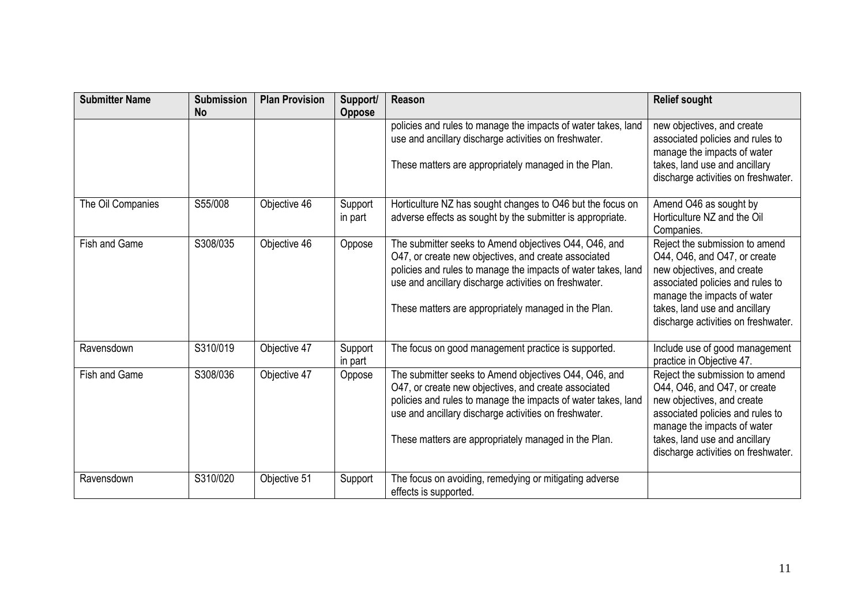| <b>Submitter Name</b> | <b>Submission</b><br><b>No</b> | <b>Plan Provision</b> | Support/<br><b>Oppose</b> | Reason                                                                                                                                                                                                                                                                                          | <b>Relief sought</b>                                                                                                                                                                                                                    |
|-----------------------|--------------------------------|-----------------------|---------------------------|-------------------------------------------------------------------------------------------------------------------------------------------------------------------------------------------------------------------------------------------------------------------------------------------------|-----------------------------------------------------------------------------------------------------------------------------------------------------------------------------------------------------------------------------------------|
|                       |                                |                       |                           | policies and rules to manage the impacts of water takes, land<br>use and ancillary discharge activities on freshwater.<br>These matters are appropriately managed in the Plan.                                                                                                                  | new objectives, and create<br>associated policies and rules to<br>manage the impacts of water<br>takes, land use and ancillary<br>discharge activities on freshwater.                                                                   |
| The Oil Companies     | S55/008                        | Objective 46          | Support<br>in part        | Horticulture NZ has sought changes to O46 but the focus on<br>adverse effects as sought by the submitter is appropriate.                                                                                                                                                                        | Amend O46 as sought by<br>Horticulture NZ and the Oil<br>Companies.                                                                                                                                                                     |
| Fish and Game         | S308/035                       | Objective 46          | Oppose                    | The submitter seeks to Amend objectives O44, O46, and<br>O47, or create new objectives, and create associated<br>policies and rules to manage the impacts of water takes, land<br>use and ancillary discharge activities on freshwater.<br>These matters are appropriately managed in the Plan. | Reject the submission to amend<br>O44, O46, and O47, or create<br>new objectives, and create<br>associated policies and rules to<br>manage the impacts of water<br>takes, land use and ancillary<br>discharge activities on freshwater. |
| Ravensdown            | S310/019                       | Objective 47          | Support<br>in part        | The focus on good management practice is supported.                                                                                                                                                                                                                                             | Include use of good management<br>practice in Objective 47.                                                                                                                                                                             |
| Fish and Game         | S308/036                       | Objective 47          | Oppose                    | The submitter seeks to Amend objectives O44, O46, and<br>O47, or create new objectives, and create associated<br>policies and rules to manage the impacts of water takes, land<br>use and ancillary discharge activities on freshwater.<br>These matters are appropriately managed in the Plan. | Reject the submission to amend<br>O44, O46, and O47, or create<br>new objectives, and create<br>associated policies and rules to<br>manage the impacts of water<br>takes, land use and ancillary<br>discharge activities on freshwater. |
| Ravensdown            | S310/020                       | Objective 51          | Support                   | The focus on avoiding, remedying or mitigating adverse<br>effects is supported.                                                                                                                                                                                                                 |                                                                                                                                                                                                                                         |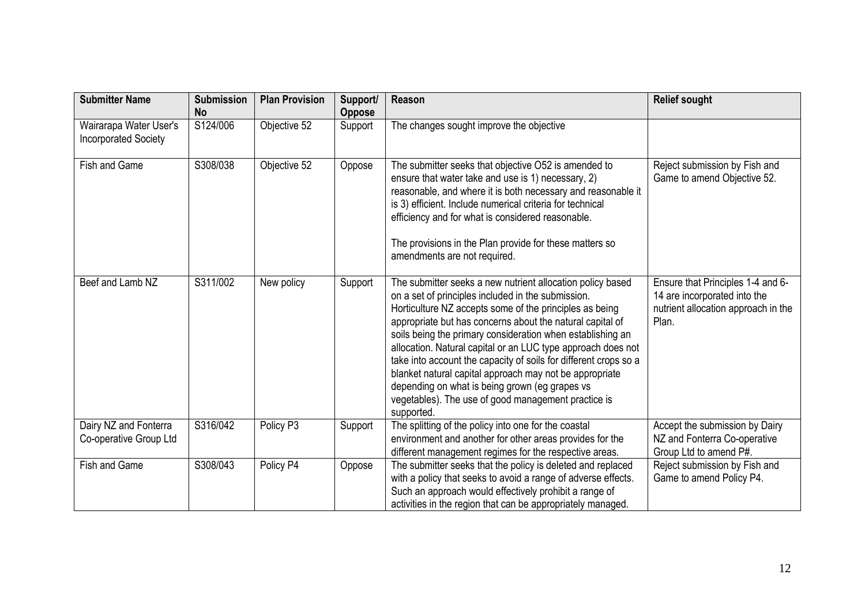| <b>Submitter Name</b>                                 | <b>Submission</b><br><b>No</b> | <b>Plan Provision</b> | Support/<br><b>Oppose</b> | Reason                                                                                                                                                                                                                                                                                                                                                                                                                                                                                                                                                                                                                       | <b>Relief sought</b>                                                                                              |
|-------------------------------------------------------|--------------------------------|-----------------------|---------------------------|------------------------------------------------------------------------------------------------------------------------------------------------------------------------------------------------------------------------------------------------------------------------------------------------------------------------------------------------------------------------------------------------------------------------------------------------------------------------------------------------------------------------------------------------------------------------------------------------------------------------------|-------------------------------------------------------------------------------------------------------------------|
| Wairarapa Water User's<br><b>Incorporated Society</b> | S124/006                       | Objective 52          | Support                   | The changes sought improve the objective                                                                                                                                                                                                                                                                                                                                                                                                                                                                                                                                                                                     |                                                                                                                   |
| Fish and Game                                         | S308/038                       | Objective 52          | Oppose                    | The submitter seeks that objective O52 is amended to<br>ensure that water take and use is 1) necessary, 2)<br>reasonable, and where it is both necessary and reasonable it<br>is 3) efficient. Include numerical criteria for technical<br>efficiency and for what is considered reasonable.<br>The provisions in the Plan provide for these matters so<br>amendments are not required.                                                                                                                                                                                                                                      | Reject submission by Fish and<br>Game to amend Objective 52.                                                      |
| Beef and Lamb NZ                                      | S311/002                       | New policy            | Support                   | The submitter seeks a new nutrient allocation policy based<br>on a set of principles included in the submission.<br>Horticulture NZ accepts some of the principles as being<br>appropriate but has concerns about the natural capital of<br>soils being the primary consideration when establishing an<br>allocation. Natural capital or an LUC type approach does not<br>take into account the capacity of soils for different crops so a<br>blanket natural capital approach may not be appropriate<br>depending on what is being grown (eg grapes vs<br>vegetables). The use of good management practice is<br>supported. | Ensure that Principles 1-4 and 6-<br>14 are incorporated into the<br>nutrient allocation approach in the<br>Plan. |
| Dairy NZ and Fonterra<br>Co-operative Group Ltd       | S316/042                       | Policy P3             | Support                   | The splitting of the policy into one for the coastal<br>environment and another for other areas provides for the<br>different management regimes for the respective areas.                                                                                                                                                                                                                                                                                                                                                                                                                                                   | Accept the submission by Dairy<br>NZ and Fonterra Co-operative<br>Group Ltd to amend P#.                          |
| Fish and Game                                         | S308/043                       | Policy P4             | Oppose                    | The submitter seeks that the policy is deleted and replaced<br>with a policy that seeks to avoid a range of adverse effects.<br>Such an approach would effectively prohibit a range of<br>activities in the region that can be appropriately managed.                                                                                                                                                                                                                                                                                                                                                                        | Reject submission by Fish and<br>Game to amend Policy P4.                                                         |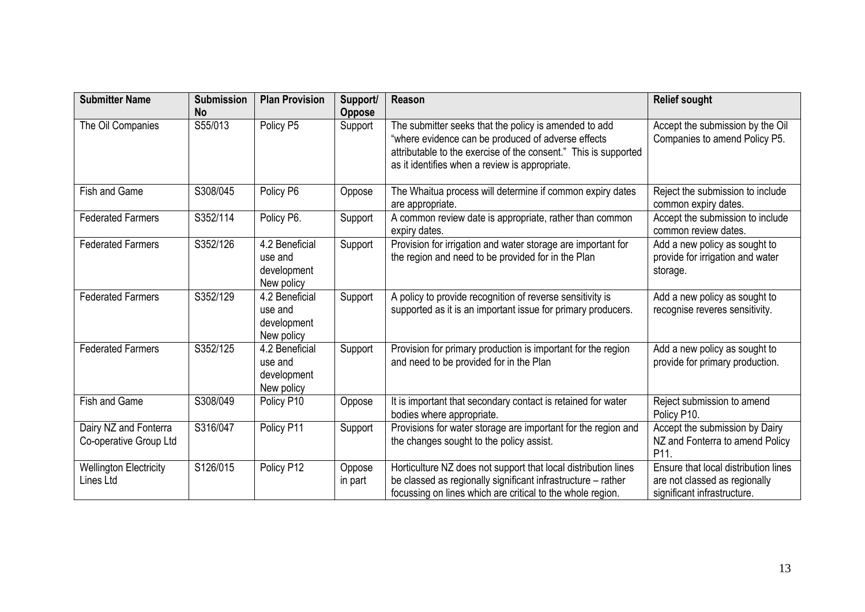| <b>Submitter Name</b>                           | <b>Submission</b><br><b>No</b> | <b>Plan Provision</b>                                  | Support/<br><b>Oppose</b> | Reason                                                                                                                                                                                                                           | <b>Relief sought</b>                                                                                 |
|-------------------------------------------------|--------------------------------|--------------------------------------------------------|---------------------------|----------------------------------------------------------------------------------------------------------------------------------------------------------------------------------------------------------------------------------|------------------------------------------------------------------------------------------------------|
| The Oil Companies                               | S55/013                        | Policy P5                                              | Support                   | The submitter seeks that the policy is amended to add<br>"where evidence can be produced of adverse effects<br>attributable to the exercise of the consent." This is supported<br>as it identifies when a review is appropriate. | Accept the submission by the Oil<br>Companies to amend Policy P5.                                    |
| Fish and Game                                   | S308/045                       | Policy P6                                              | Oppose                    | The Whaitua process will determine if common expiry dates<br>are appropriate.                                                                                                                                                    | Reject the submission to include<br>common expiry dates.                                             |
| <b>Federated Farmers</b>                        | S352/114                       | Policy P6.                                             | Support                   | A common review date is appropriate, rather than common<br>expiry dates.                                                                                                                                                         | Accept the submission to include<br>common review dates.                                             |
| <b>Federated Farmers</b>                        | S352/126                       | 4.2 Beneficial<br>use and<br>development<br>New policy | Support                   | Provision for irrigation and water storage are important for<br>the region and need to be provided for in the Plan                                                                                                               | Add a new policy as sought to<br>provide for irrigation and water<br>storage.                        |
| <b>Federated Farmers</b>                        | S352/129                       | 4.2 Beneficial<br>use and<br>development<br>New policy | Support                   | A policy to provide recognition of reverse sensitivity is<br>supported as it is an important issue for primary producers.                                                                                                        | Add a new policy as sought to<br>recognise reveres sensitivity.                                      |
| <b>Federated Farmers</b>                        | S352/125                       | 4.2 Beneficial<br>use and<br>development<br>New policy | Support                   | Provision for primary production is important for the region<br>and need to be provided for in the Plan                                                                                                                          | Add a new policy as sought to<br>provide for primary production.                                     |
| <b>Fish and Game</b>                            | S308/049                       | Policy P10                                             | Oppose                    | It is important that secondary contact is retained for water<br>bodies where appropriate.                                                                                                                                        | Reject submission to amend<br>Policy P10.                                                            |
| Dairy NZ and Fonterra<br>Co-operative Group Ltd | S316/047                       | Policy P11                                             | Support                   | Provisions for water storage are important for the region and<br>the changes sought to the policy assist.                                                                                                                        | Accept the submission by Dairy<br>NZ and Fonterra to amend Policy<br>P11.                            |
| <b>Wellington Electricity</b><br>Lines Ltd      | S126/015                       | Policy P12                                             | Oppose<br>in part         | Horticulture NZ does not support that local distribution lines<br>be classed as regionally significant infrastructure - rather<br>focussing on lines which are critical to the whole region.                                     | Ensure that local distribution lines<br>are not classed as regionally<br>significant infrastructure. |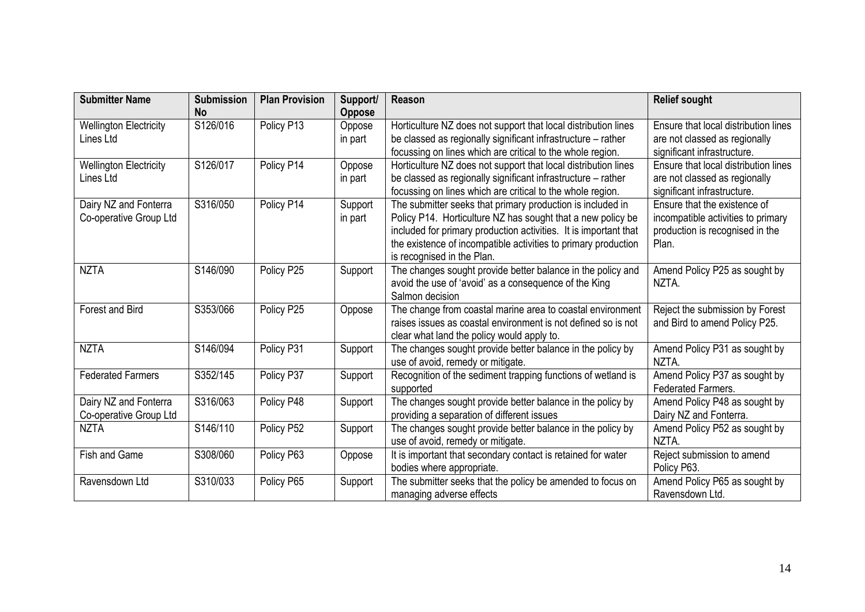| <b>Submitter Name</b>         | <b>Submission</b> | <b>Plan Provision</b> | Support/      | <b>Reason</b>                                                                                                               | <b>Relief sought</b>                   |
|-------------------------------|-------------------|-----------------------|---------------|-----------------------------------------------------------------------------------------------------------------------------|----------------------------------------|
|                               | <b>No</b>         |                       | <b>Oppose</b> |                                                                                                                             |                                        |
| <b>Wellington Electricity</b> | S126/016          | Policy P13            | Oppose        | Horticulture NZ does not support that local distribution lines                                                              | Ensure that local distribution lines   |
| Lines Ltd                     |                   |                       | in part       | be classed as regionally significant infrastructure - rather                                                                | are not classed as regionally          |
|                               |                   |                       |               | focussing on lines which are critical to the whole region.                                                                  | significant infrastructure.            |
| <b>Wellington Electricity</b> | S126/017          | Policy P14            | Oppose        | Horticulture NZ does not support that local distribution lines                                                              | Ensure that local distribution lines   |
| Lines Ltd                     |                   |                       | in part       | be classed as regionally significant infrastructure - rather                                                                | are not classed as regionally          |
|                               |                   |                       |               | focussing on lines which are critical to the whole region.                                                                  | significant infrastructure.            |
| Dairy NZ and Fonterra         | S316/050          | Policy P14            | Support       | The submitter seeks that primary production is included in                                                                  | Ensure that the existence of           |
| Co-operative Group Ltd        |                   |                       | in part       | Policy P14. Horticulture NZ has sought that a new policy be                                                                 | incompatible activities to primary     |
|                               |                   |                       |               | included for primary production activities. It is important that                                                            | production is recognised in the        |
|                               |                   |                       |               | the existence of incompatible activities to primary production                                                              | Plan.                                  |
|                               | S146/090          |                       |               | is recognised in the Plan.                                                                                                  |                                        |
| <b>NZTA</b>                   |                   | Policy P25            | Support       | The changes sought provide better balance in the policy and                                                                 | Amend Policy P25 as sought by          |
|                               |                   |                       |               | avoid the use of 'avoid' as a consequence of the King<br>Salmon decision                                                    | NZTA.                                  |
| <b>Forest and Bird</b>        | S353/066          |                       |               |                                                                                                                             |                                        |
|                               |                   | Policy P25            | Oppose        | The change from coastal marine area to coastal environment<br>raises issues as coastal environment is not defined so is not | Reject the submission by Forest        |
|                               |                   |                       |               | clear what land the policy would apply to.                                                                                  | and Bird to amend Policy P25.          |
| <b>NZTA</b>                   | S146/094          | Policy P31            |               |                                                                                                                             |                                        |
|                               |                   |                       | Support       | The changes sought provide better balance in the policy by                                                                  | Amend Policy P31 as sought by<br>NZTA. |
| <b>Federated Farmers</b>      | S352/145          | Policy P37            | Support       | use of avoid, remedy or mitigate.<br>Recognition of the sediment trapping functions of wetland is                           | Amend Policy P37 as sought by          |
|                               |                   |                       |               | supported                                                                                                                   | <b>Federated Farmers.</b>              |
| Dairy NZ and Fonterra         | S316/063          | Policy P48            | Support       | The changes sought provide better balance in the policy by                                                                  | Amend Policy P48 as sought by          |
| Co-operative Group Ltd        |                   |                       |               | providing a separation of different issues                                                                                  | Dairy NZ and Fonterra.                 |
| <b>NZTA</b>                   | S146/110          | Policy P52            |               | The changes sought provide better balance in the policy by                                                                  | Amend Policy P52 as sought by          |
|                               |                   |                       | Support       | use of avoid, remedy or mitigate.                                                                                           | NZTA.                                  |
| Fish and Game                 | S308/060          |                       |               |                                                                                                                             |                                        |
|                               |                   | Policy P63            | Oppose        | It is important that secondary contact is retained for water                                                                | Reject submission to amend             |
|                               |                   |                       |               | bodies where appropriate.                                                                                                   | Policy P63.                            |
| Ravensdown Ltd                | S310/033          | Policy P65            | Support       | The submitter seeks that the policy be amended to focus on                                                                  | Amend Policy P65 as sought by          |
|                               |                   |                       |               | managing adverse effects                                                                                                    | Ravensdown Ltd.                        |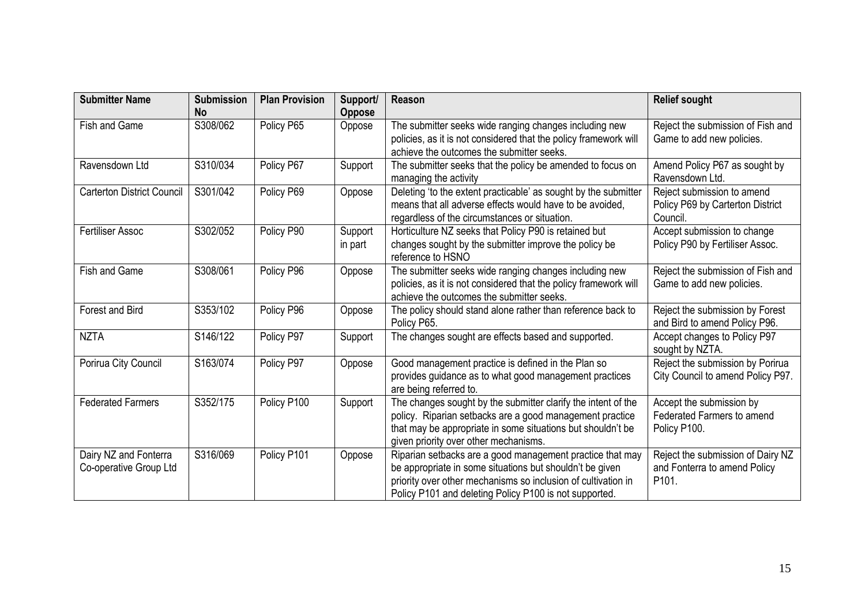| <b>Submitter Name</b>                           | <b>Submission</b><br><b>No</b> | <b>Plan Provision</b> | Support/<br><b>Oppose</b> | <b>Reason</b>                                                                                                                                                                                                                                    | <b>Relief sought</b>                                                       |
|-------------------------------------------------|--------------------------------|-----------------------|---------------------------|--------------------------------------------------------------------------------------------------------------------------------------------------------------------------------------------------------------------------------------------------|----------------------------------------------------------------------------|
| Fish and Game                                   | S308/062                       | Policy P65            | Oppose                    | The submitter seeks wide ranging changes including new<br>policies, as it is not considered that the policy framework will<br>achieve the outcomes the submitter seeks.                                                                          | Reject the submission of Fish and<br>Game to add new policies.             |
| Ravensdown Ltd                                  | S310/034                       | Policy P67            | Support                   | The submitter seeks that the policy be amended to focus on<br>managing the activity                                                                                                                                                              | Amend Policy P67 as sought by<br>Ravensdown Ltd.                           |
| <b>Carterton District Council</b>               | S301/042                       | Policy P69            | Oppose                    | Deleting 'to the extent practicable' as sought by the submitter<br>means that all adverse effects would have to be avoided.<br>regardless of the circumstances or situation.                                                                     | Reject submission to amend<br>Policy P69 by Carterton District<br>Council. |
| <b>Fertiliser Assoc</b>                         | S302/052                       | Policy P90            | Support<br>in part        | Horticulture NZ seeks that Policy P90 is retained but<br>changes sought by the submitter improve the policy be<br>reference to HSNO                                                                                                              | Accept submission to change<br>Policy P90 by Fertiliser Assoc.             |
| Fish and Game                                   | S308/061                       | Policy P96            | Oppose                    | The submitter seeks wide ranging changes including new<br>policies, as it is not considered that the policy framework will<br>achieve the outcomes the submitter seeks.                                                                          | Reject the submission of Fish and<br>Game to add new policies.             |
| Forest and Bird                                 | S353/102                       | Policy P96            | Oppose                    | The policy should stand alone rather than reference back to<br>Policy P65.                                                                                                                                                                       | Reject the submission by Forest<br>and Bird to amend Policy P96.           |
| <b>NZTA</b>                                     | S146/122                       | Policy P97            | Support                   | The changes sought are effects based and supported.                                                                                                                                                                                              | Accept changes to Policy P97<br>sought by NZTA.                            |
| Porirua City Council                            | S163/074                       | Policy P97            | Oppose                    | Good management practice is defined in the Plan so<br>provides guidance as to what good management practices<br>are being referred to.                                                                                                           | Reject the submission by Porirua<br>City Council to amend Policy P97.      |
| <b>Federated Farmers</b>                        | S352/175                       | Policy P100           | Support                   | The changes sought by the submitter clarify the intent of the<br>policy. Riparian setbacks are a good management practice<br>that may be appropriate in some situations but shouldn't be<br>given priority over other mechanisms.                | Accept the submission by<br>Federated Farmers to amend<br>Policy P100.     |
| Dairy NZ and Fonterra<br>Co-operative Group Ltd | S316/069                       | Policy P101           | Oppose                    | Riparian setbacks are a good management practice that may<br>be appropriate in some situations but shouldn't be given<br>priority over other mechanisms so inclusion of cultivation in<br>Policy P101 and deleting Policy P100 is not supported. | Reject the submission of Dairy NZ<br>and Fonterra to amend Policy<br>P101. |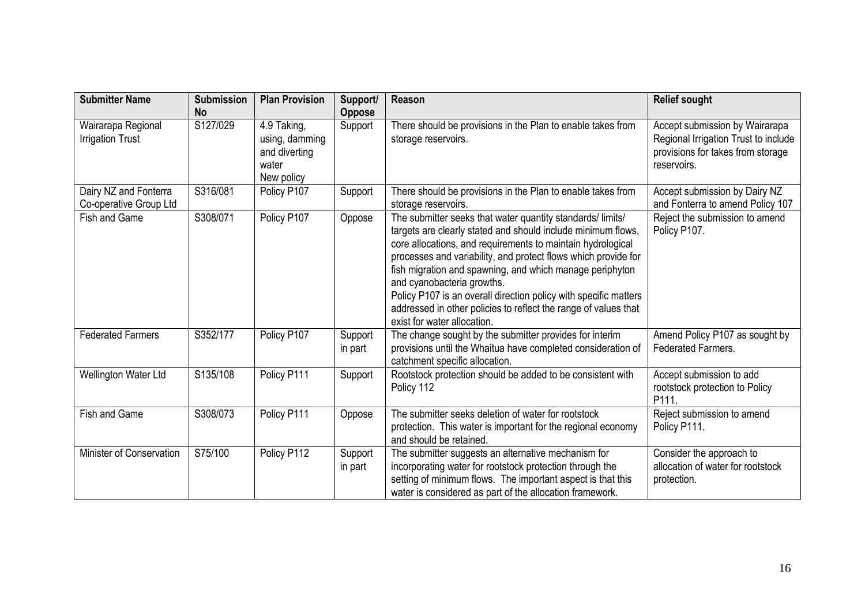| <b>Submitter Name</b>                           | <b>Submission</b><br><b>No</b> | <b>Plan Provision</b>                                                 | Support/<br><b>Oppose</b> | Reason                                                                                                                                                                                                                                                                                                                                                                                                                                                                                                                     | <b>Relief sought</b>                                                                                                       |
|-------------------------------------------------|--------------------------------|-----------------------------------------------------------------------|---------------------------|----------------------------------------------------------------------------------------------------------------------------------------------------------------------------------------------------------------------------------------------------------------------------------------------------------------------------------------------------------------------------------------------------------------------------------------------------------------------------------------------------------------------------|----------------------------------------------------------------------------------------------------------------------------|
| Wairarapa Regional<br><b>Irrigation Trust</b>   | S127/029                       | 4.9 Taking,<br>using, damming<br>and diverting<br>water<br>New policy | Support                   | There should be provisions in the Plan to enable takes from<br>storage reservoirs.                                                                                                                                                                                                                                                                                                                                                                                                                                         | Accept submission by Wairarapa<br>Regional Irrigation Trust to include<br>provisions for takes from storage<br>reservoirs. |
| Dairy NZ and Fonterra<br>Co-operative Group Ltd | S316/081                       | Policy P107                                                           | Support                   | There should be provisions in the Plan to enable takes from<br>storage reservoirs.                                                                                                                                                                                                                                                                                                                                                                                                                                         | Accept submission by Dairy NZ<br>and Fonterra to amend Policy 107                                                          |
| Fish and Game                                   | S308/071                       | Policy P107                                                           | Oppose                    | The submitter seeks that water quantity standards/limits/<br>targets are clearly stated and should include minimum flows,<br>core allocations, and requirements to maintain hydrological<br>processes and variability, and protect flows which provide for<br>fish migration and spawning, and which manage periphyton<br>and cyanobacteria growths.<br>Policy P107 is an overall direction policy with specific matters<br>addressed in other policies to reflect the range of values that<br>exist for water allocation. | Reject the submission to amend<br>Policy P107.                                                                             |
| <b>Federated Farmers</b>                        | S352/177                       | Policy P107                                                           | Support<br>in part        | The change sought by the submitter provides for interim<br>provisions until the Whaitua have completed consideration of<br>catchment specific allocation.                                                                                                                                                                                                                                                                                                                                                                  | Amend Policy P107 as sought by<br><b>Federated Farmers.</b>                                                                |
| Wellington Water Ltd                            | S135/108                       | Policy P111                                                           | Support                   | Rootstock protection should be added to be consistent with<br>Policy 112                                                                                                                                                                                                                                                                                                                                                                                                                                                   | Accept submission to add<br>rootstock protection to Policy<br>P111.                                                        |
| Fish and Game                                   | S308/073                       | Policy P111                                                           | Oppose                    | The submitter seeks deletion of water for rootstock<br>protection. This water is important for the regional economy<br>and should be retained.                                                                                                                                                                                                                                                                                                                                                                             | Reject submission to amend<br>Policy P111.                                                                                 |
| Minister of Conservation                        | S75/100                        | Policy P112                                                           | Support<br>in part        | The submitter suggests an alternative mechanism for<br>incorporating water for rootstock protection through the<br>setting of minimum flows. The important aspect is that this<br>water is considered as part of the allocation framework.                                                                                                                                                                                                                                                                                 | Consider the approach to<br>allocation of water for rootstock<br>protection.                                               |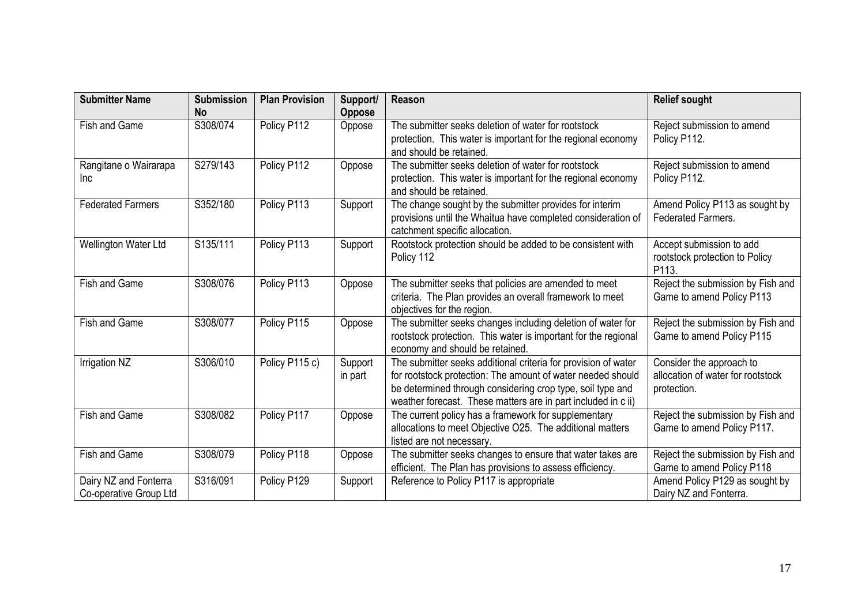| <b>Submitter Name</b>                           | <b>Submission</b><br><b>No</b> | <b>Plan Provision</b> | Support/<br><b>Oppose</b> | <b>Reason</b>                                                                                                                                                                                                                                                | <b>Relief sought</b>                                                         |
|-------------------------------------------------|--------------------------------|-----------------------|---------------------------|--------------------------------------------------------------------------------------------------------------------------------------------------------------------------------------------------------------------------------------------------------------|------------------------------------------------------------------------------|
| Fish and Game                                   | S308/074                       | Policy P112           | Oppose                    | The submitter seeks deletion of water for rootstock<br>protection. This water is important for the regional economy<br>and should be retained.                                                                                                               | Reject submission to amend<br>Policy P112.                                   |
| Rangitane o Wairarapa<br>Inc                    | S279/143                       | Policy P112           | Oppose                    | The submitter seeks deletion of water for rootstock<br>protection. This water is important for the regional economy<br>and should be retained.                                                                                                               | Reject submission to amend<br>Policy P112.                                   |
| <b>Federated Farmers</b>                        | S352/180                       | Policy P113           | Support                   | The change sought by the submitter provides for interim<br>provisions until the Whaitua have completed consideration of<br>catchment specific allocation.                                                                                                    | Amend Policy P113 as sought by<br><b>Federated Farmers.</b>                  |
| Wellington Water Ltd                            | S135/111                       | Policy P113           | Support                   | Rootstock protection should be added to be consistent with<br>Policy 112                                                                                                                                                                                     | Accept submission to add<br>rootstock protection to Policy<br>P113.          |
| Fish and Game                                   | S308/076                       | Policy P113           | Oppose                    | The submitter seeks that policies are amended to meet<br>criteria. The Plan provides an overall framework to meet<br>objectives for the region.                                                                                                              | Reject the submission by Fish and<br>Game to amend Policy P113               |
| Fish and Game                                   | S308/077                       | Policy P115           | Oppose                    | The submitter seeks changes including deletion of water for<br>rootstock protection. This water is important for the regional<br>economy and should be retained.                                                                                             | Reject the submission by Fish and<br>Game to amend Policy P115               |
| Irrigation NZ                                   | S306/010                       | Policy P115 c)        | Support<br>in part        | The submitter seeks additional criteria for provision of water<br>for rootstock protection: The amount of water needed should<br>be determined through considering crop type, soil type and<br>weather forecast. These matters are in part included in c ii) | Consider the approach to<br>allocation of water for rootstock<br>protection. |
| Fish and Game                                   | S308/082                       | Policy P117           | Oppose                    | The current policy has a framework for supplementary<br>allocations to meet Objective O25. The additional matters<br>listed are not necessary.                                                                                                               | Reject the submission by Fish and<br>Game to amend Policy P117.              |
| Fish and Game                                   | S308/079                       | Policy P118           | Oppose                    | The submitter seeks changes to ensure that water takes are<br>efficient. The Plan has provisions to assess efficiency.                                                                                                                                       | Reject the submission by Fish and<br>Game to amend Policy P118               |
| Dairy NZ and Fonterra<br>Co-operative Group Ltd | S316/091                       | Policy P129           | Support                   | Reference to Policy P117 is appropriate                                                                                                                                                                                                                      | Amend Policy P129 as sought by<br>Dairy NZ and Fonterra.                     |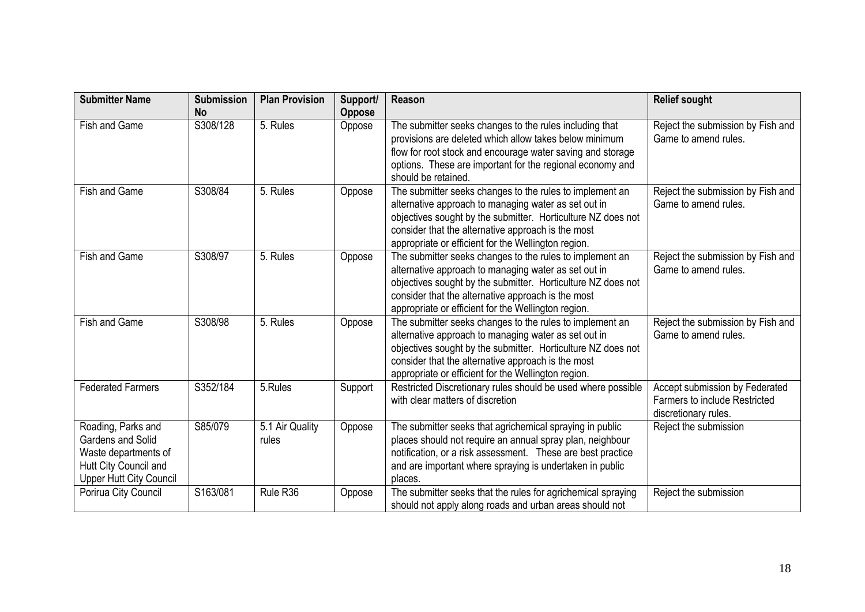| <b>Submitter Name</b>                                                                                               | <b>Submission</b><br><b>No</b> | <b>Plan Provision</b>    | Support/<br><b>Oppose</b> | Reason                                                                                                                                                                                                                                                                                        | <b>Relief sought</b>                                                                           |
|---------------------------------------------------------------------------------------------------------------------|--------------------------------|--------------------------|---------------------------|-----------------------------------------------------------------------------------------------------------------------------------------------------------------------------------------------------------------------------------------------------------------------------------------------|------------------------------------------------------------------------------------------------|
| Fish and Game                                                                                                       | S308/128                       | 5. Rules                 | Oppose                    | The submitter seeks changes to the rules including that<br>provisions are deleted which allow takes below minimum<br>flow for root stock and encourage water saving and storage<br>options. These are important for the regional economy and<br>should be retained.                           | Reject the submission by Fish and<br>Game to amend rules.                                      |
| Fish and Game                                                                                                       | S308/84                        | 5. Rules                 | Oppose                    | The submitter seeks changes to the rules to implement an<br>alternative approach to managing water as set out in<br>objectives sought by the submitter. Horticulture NZ does not<br>consider that the alternative approach is the most<br>appropriate or efficient for the Wellington region. | Reject the submission by Fish and<br>Game to amend rules.                                      |
| Fish and Game                                                                                                       | S308/97                        | 5. Rules                 | Oppose                    | The submitter seeks changes to the rules to implement an<br>alternative approach to managing water as set out in<br>objectives sought by the submitter. Horticulture NZ does not<br>consider that the alternative approach is the most<br>appropriate or efficient for the Wellington region. | Reject the submission by Fish and<br>Game to amend rules.                                      |
| Fish and Game                                                                                                       | S308/98                        | 5. Rules                 | Oppose                    | The submitter seeks changes to the rules to implement an<br>alternative approach to managing water as set out in<br>objectives sought by the submitter. Horticulture NZ does not<br>consider that the alternative approach is the most<br>appropriate or efficient for the Wellington region. | Reject the submission by Fish and<br>Game to amend rules.                                      |
| <b>Federated Farmers</b>                                                                                            | S352/184                       | 5.Rules                  | Support                   | Restricted Discretionary rules should be used where possible<br>with clear matters of discretion                                                                                                                                                                                              | Accept submission by Federated<br><b>Farmers to include Restricted</b><br>discretionary rules. |
| Roading, Parks and<br>Gardens and Solid<br>Waste departments of<br>Hutt City Council and<br>Upper Hutt City Council | S85/079                        | 5.1 Air Quality<br>rules | Oppose                    | The submitter seeks that agrichemical spraying in public<br>places should not require an annual spray plan, neighbour<br>notification, or a risk assessment. These are best practice<br>and are important where spraying is undertaken in public<br>places.                                   | Reject the submission                                                                          |
| Porirua City Council                                                                                                | S163/081                       | Rule R36                 | Oppose                    | The submitter seeks that the rules for agrichemical spraying<br>should not apply along roads and urban areas should not                                                                                                                                                                       | Reject the submission                                                                          |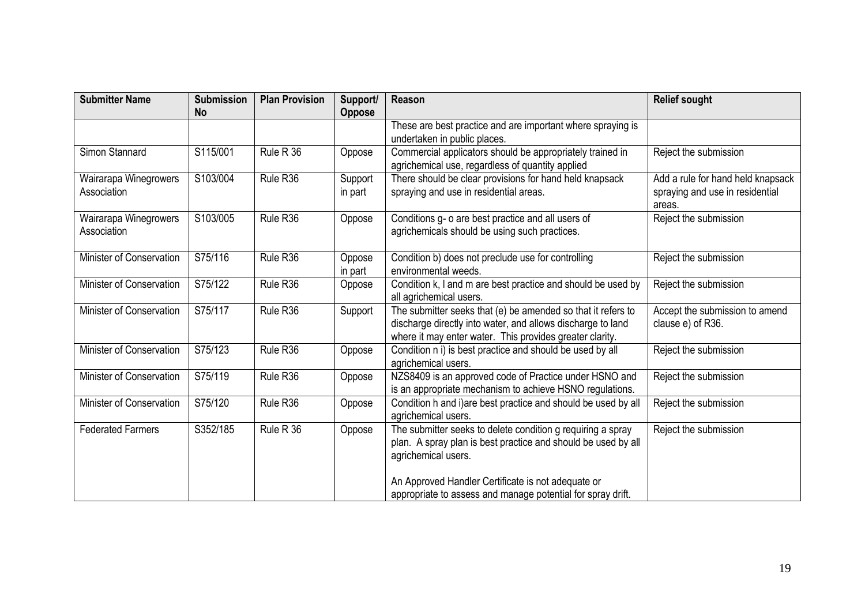| <b>Submitter Name</b>                | <b>Submission</b><br><b>No</b> | <b>Plan Provision</b> | Support/<br><b>Oppose</b> | <b>Reason</b>                                                                                                                                                                                             | <b>Relief sought</b>                                                           |
|--------------------------------------|--------------------------------|-----------------------|---------------------------|-----------------------------------------------------------------------------------------------------------------------------------------------------------------------------------------------------------|--------------------------------------------------------------------------------|
|                                      |                                |                       |                           | These are best practice and are important where spraying is<br>undertaken in public places.                                                                                                               |                                                                                |
| Simon Stannard                       | S115/001                       | Rule R 36             | Oppose                    | Commercial applicators should be appropriately trained in<br>agrichemical use, regardless of quantity applied                                                                                             | Reject the submission                                                          |
| Wairarapa Winegrowers<br>Association | S103/004                       | Rule R36              | Support<br>in part        | There should be clear provisions for hand held knapsack<br>spraying and use in residential areas.                                                                                                         | Add a rule for hand held knapsack<br>spraying and use in residential<br>areas. |
| Wairarapa Winegrowers<br>Association | S103/005                       | Rule R36              | Oppose                    | Conditions g- o are best practice and all users of<br>agrichemicals should be using such practices.                                                                                                       | Reject the submission                                                          |
| Minister of Conservation             | S75/116                        | Rule R36              | Oppose<br>in part         | Condition b) does not preclude use for controlling<br>environmental weeds.                                                                                                                                | Reject the submission                                                          |
| Minister of Conservation             | S75/122                        | Rule R36              | Oppose                    | Condition k, I and m are best practice and should be used by<br>all agrichemical users.                                                                                                                   | Reject the submission                                                          |
| Minister of Conservation             | S75/117                        | Rule R36              | Support                   | The submitter seeks that (e) be amended so that it refers to<br>discharge directly into water, and allows discharge to land<br>where it may enter water. This provides greater clarity.                   | Accept the submission to amend<br>clause e) of R36.                            |
| Minister of Conservation             | S75/123                        | Rule R36              | Oppose                    | Condition n i) is best practice and should be used by all<br>agrichemical users.                                                                                                                          | Reject the submission                                                          |
| Minister of Conservation             | S75/119                        | Rule R36              | Oppose                    | NZS8409 is an approved code of Practice under HSNO and<br>is an appropriate mechanism to achieve HSNO regulations.                                                                                        | Reject the submission                                                          |
| Minister of Conservation             | S75/120                        | Rule R36              | Oppose                    | Condition h and i)are best practice and should be used by all<br>agrichemical users.                                                                                                                      | Reject the submission                                                          |
| <b>Federated Farmers</b>             | S352/185                       | Rule R 36             | Oppose                    | The submitter seeks to delete condition g requiring a spray<br>plan. A spray plan is best practice and should be used by all<br>agrichemical users.<br>An Approved Handler Certificate is not adequate or | Reject the submission                                                          |
|                                      |                                |                       |                           | appropriate to assess and manage potential for spray drift.                                                                                                                                               |                                                                                |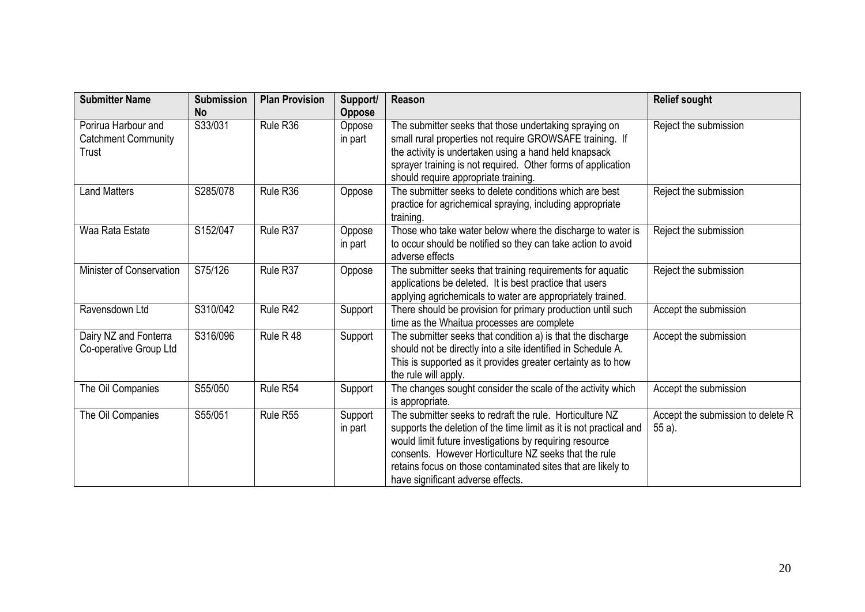| <b>Submitter Name</b>                                      | <b>Submission</b><br><b>No</b> | <b>Plan Provision</b> | Support/<br><b>Oppose</b> | Reason                                                                                                                                                                                                                                                                                                                                                  | <b>Relief sought</b>                          |
|------------------------------------------------------------|--------------------------------|-----------------------|---------------------------|---------------------------------------------------------------------------------------------------------------------------------------------------------------------------------------------------------------------------------------------------------------------------------------------------------------------------------------------------------|-----------------------------------------------|
| Porirua Harbour and<br><b>Catchment Community</b><br>Trust | S33/031                        | Rule R36              | Oppose<br>in part         | The submitter seeks that those undertaking spraying on<br>small rural properties not require GROWSAFE training. If<br>the activity is undertaken using a hand held knapsack<br>sprayer training is not required. Other forms of application<br>should require appropriate training.                                                                     | Reject the submission                         |
| <b>Land Matters</b>                                        | S285/078                       | Rule R36              | Oppose                    | The submitter seeks to delete conditions which are best<br>practice for agrichemical spraying, including appropriate<br>training.                                                                                                                                                                                                                       | Reject the submission                         |
| Waa Rata Estate                                            | S152/047                       | Rule R37              | Oppose<br>in part         | Those who take water below where the discharge to water is<br>to occur should be notified so they can take action to avoid<br>adverse effects                                                                                                                                                                                                           | Reject the submission                         |
| Minister of Conservation                                   | S75/126                        | Rule R37              | Oppose                    | The submitter seeks that training requirements for aquatic<br>applications be deleted. It is best practice that users<br>applying agrichemicals to water are appropriately trained.                                                                                                                                                                     | Reject the submission                         |
| Ravensdown Ltd                                             | S310/042                       | Rule R42              | Support                   | There should be provision for primary production until such<br>time as the Whaitua processes are complete                                                                                                                                                                                                                                               | Accept the submission                         |
| Dairy NZ and Fonterra<br>Co-operative Group Ltd            | S316/096                       | Rule R 48             | Support                   | The submitter seeks that condition a) is that the discharge<br>should not be directly into a site identified in Schedule A.<br>This is supported as it provides greater certainty as to how<br>the rule will apply.                                                                                                                                     | Accept the submission                         |
| The Oil Companies                                          | S55/050                        | Rule R54              | Support                   | The changes sought consider the scale of the activity which<br>is appropriate.                                                                                                                                                                                                                                                                          | Accept the submission                         |
| The Oil Companies                                          | S55/051                        | Rule R55              | Support<br>in part        | The submitter seeks to redraft the rule. Horticulture NZ<br>supports the deletion of the time limit as it is not practical and<br>would limit future investigations by requiring resource<br>consents. However Horticulture NZ seeks that the rule<br>retains focus on those contaminated sites that are likely to<br>have significant adverse effects. | Accept the submission to delete R<br>$55a$ ). |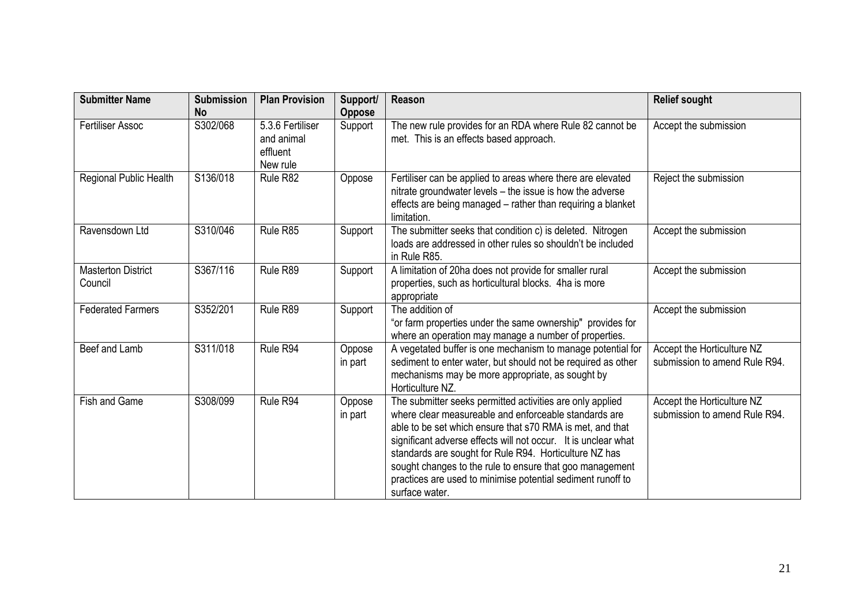| <b>Submitter Name</b>                | <b>Submission</b><br><b>No</b> | <b>Plan Provision</b>                                  | Support/<br>Oppose | Reason                                                                                                                                                                                                                                                                                                                                                                                                                                                   | <b>Relief sought</b>                                        |
|--------------------------------------|--------------------------------|--------------------------------------------------------|--------------------|----------------------------------------------------------------------------------------------------------------------------------------------------------------------------------------------------------------------------------------------------------------------------------------------------------------------------------------------------------------------------------------------------------------------------------------------------------|-------------------------------------------------------------|
| <b>Fertiliser Assoc</b>              | S302/068                       | 5.3.6 Fertiliser<br>and animal<br>effluent<br>New rule | Support            | The new rule provides for an RDA where Rule 82 cannot be<br>met. This is an effects based approach.                                                                                                                                                                                                                                                                                                                                                      | Accept the submission                                       |
| Regional Public Health               | S136/018                       | Rule R82                                               | Oppose             | Fertiliser can be applied to areas where there are elevated<br>nitrate groundwater levels - the issue is how the adverse<br>effects are being managed - rather than requiring a blanket<br>limitation.                                                                                                                                                                                                                                                   | Reject the submission                                       |
| Ravensdown Ltd                       | S310/046                       | Rule R85                                               | Support            | The submitter seeks that condition c) is deleted. Nitrogen<br>loads are addressed in other rules so shouldn't be included<br>in Rule R85.                                                                                                                                                                                                                                                                                                                | Accept the submission                                       |
| <b>Masterton District</b><br>Council | S367/116                       | Rule R89                                               | Support            | A limitation of 20ha does not provide for smaller rural<br>properties, such as horticultural blocks. 4ha is more<br>appropriate                                                                                                                                                                                                                                                                                                                          | Accept the submission                                       |
| <b>Federated Farmers</b>             | S352/201                       | Rule R89                                               | Support            | The addition of<br>"or farm properties under the same ownership" provides for<br>where an operation may manage a number of properties.                                                                                                                                                                                                                                                                                                                   | Accept the submission                                       |
| Beef and Lamb                        | S311/018                       | Rule R94                                               | Oppose<br>in part  | A vegetated buffer is one mechanism to manage potential for<br>sediment to enter water, but should not be required as other<br>mechanisms may be more appropriate, as sought by<br>Horticulture NZ.                                                                                                                                                                                                                                                      | Accept the Horticulture NZ<br>submission to amend Rule R94. |
| Fish and Game                        | S308/099                       | Rule R94                                               | Oppose<br>in part  | The submitter seeks permitted activities are only applied<br>where clear measureable and enforceable standards are<br>able to be set which ensure that s70 RMA is met, and that<br>significant adverse effects will not occur. It is unclear what<br>standards are sought for Rule R94. Horticulture NZ has<br>sought changes to the rule to ensure that goo management<br>practices are used to minimise potential sediment runoff to<br>surface water. | Accept the Horticulture NZ<br>submission to amend Rule R94. |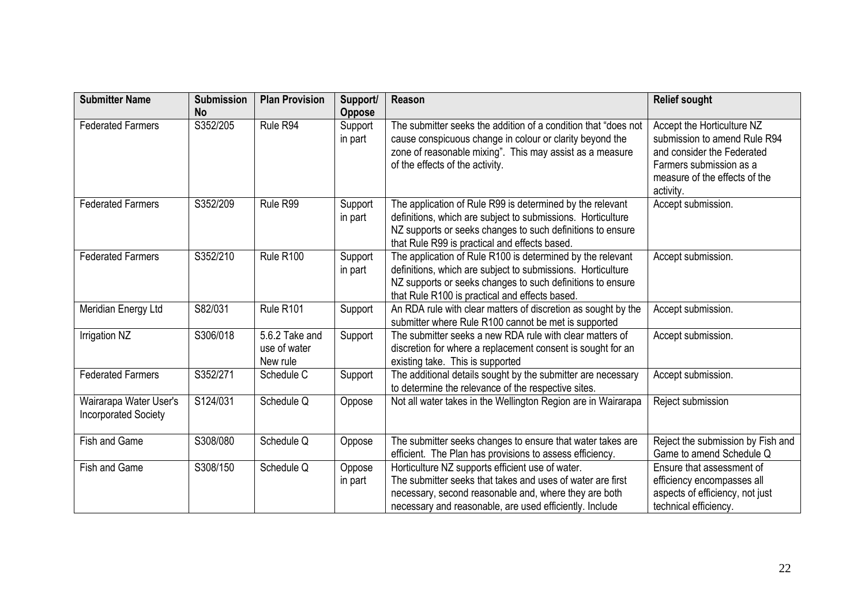| <b>Submitter Name</b>                                 | <b>Submission</b><br><b>No</b> | <b>Plan Provision</b>                      | Support/                            | Reason                                                                                                                                                                                                                                    | <b>Relief sought</b>                                                                                                                                              |
|-------------------------------------------------------|--------------------------------|--------------------------------------------|-------------------------------------|-------------------------------------------------------------------------------------------------------------------------------------------------------------------------------------------------------------------------------------------|-------------------------------------------------------------------------------------------------------------------------------------------------------------------|
| <b>Federated Farmers</b>                              | S352/205                       | Rule R94                                   | <b>Oppose</b><br>Support<br>in part | The submitter seeks the addition of a condition that "does not<br>cause conspicuous change in colour or clarity beyond the<br>zone of reasonable mixing". This may assist as a measure<br>of the effects of the activity.                 | Accept the Horticulture NZ<br>submission to amend Rule R94<br>and consider the Federated<br>Farmers submission as a<br>measure of the effects of the<br>activity. |
| <b>Federated Farmers</b>                              | S352/209                       | Rule R99                                   | Support<br>in part                  | The application of Rule R99 is determined by the relevant<br>definitions, which are subject to submissions. Horticulture<br>NZ supports or seeks changes to such definitions to ensure<br>that Rule R99 is practical and effects based.   | Accept submission.                                                                                                                                                |
| <b>Federated Farmers</b>                              | S352/210                       | Rule R100                                  | Support<br>in part                  | The application of Rule R100 is determined by the relevant<br>definitions, which are subject to submissions. Horticulture<br>NZ supports or seeks changes to such definitions to ensure<br>that Rule R100 is practical and effects based. | Accept submission.                                                                                                                                                |
| Meridian Energy Ltd                                   | S82/031                        | Rule R101                                  | Support                             | An RDA rule with clear matters of discretion as sought by the<br>submitter where Rule R100 cannot be met is supported                                                                                                                     | Accept submission.                                                                                                                                                |
| Irrigation NZ                                         | S306/018                       | 5.6.2 Take and<br>use of water<br>New rule | Support                             | The submitter seeks a new RDA rule with clear matters of<br>discretion for where a replacement consent is sought for an<br>existing take. This is supported                                                                               | Accept submission.                                                                                                                                                |
| <b>Federated Farmers</b>                              | S352/271                       | Schedule C                                 | Support                             | The additional details sought by the submitter are necessary<br>to determine the relevance of the respective sites.                                                                                                                       | Accept submission.                                                                                                                                                |
| Wairarapa Water User's<br><b>Incorporated Society</b> | S124/031                       | Schedule Q                                 | Oppose                              | Not all water takes in the Wellington Region are in Wairarapa                                                                                                                                                                             | Reject submission                                                                                                                                                 |
| Fish and Game                                         | S308/080                       | Schedule Q                                 | Oppose                              | The submitter seeks changes to ensure that water takes are<br>efficient. The Plan has provisions to assess efficiency.                                                                                                                    | Reject the submission by Fish and<br>Game to amend Schedule Q                                                                                                     |
| <b>Fish and Game</b>                                  | S308/150                       | Schedule Q                                 | Oppose<br>in part                   | Horticulture NZ supports efficient use of water.<br>The submitter seeks that takes and uses of water are first<br>necessary, second reasonable and, where they are both<br>necessary and reasonable, are used efficiently. Include        | Ensure that assessment of<br>efficiency encompasses all<br>aspects of efficiency, not just<br>technical efficiency.                                               |